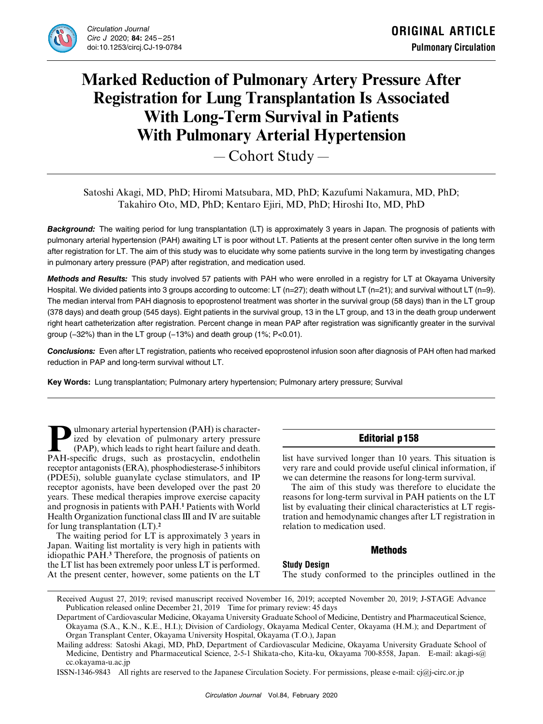

# **Marked Reduction of Pulmonary Artery Pressure After Registration for Lung Transplantation Is Associated With Long-Term Survival in Patients With Pulmonary Arterial Hypertension**

― Cohort Study ―

# Satoshi Akagi, MD, PhD; Hiromi Matsubara, MD, PhD; Kazufumi Nakamura, MD, PhD; Takahiro Oto, MD, PhD; Kentaro Ejiri, MD, PhD; Hiroshi Ito, MD, PhD

*Background:* The waiting period for lung transplantation (LT) is approximately 3 years in Japan. The prognosis of patients with pulmonary arterial hypertension (PAH) awaiting LT is poor without LT. Patients at the present center often survive in the long term after registration for LT. The aim of this study was to elucidate why some patients survive in the long term by investigating changes in pulmonary artery pressure (PAP) after registration, and medication used.

*Methods and Results:* This study involved 57 patients with PAH who were enrolled in a registry for LT at Okayama University Hospital. We divided patients into 3 groups according to outcome: LT (n=27); death without LT (n=21); and survival without LT (n=9). The median interval from PAH diagnosis to epoprostenol treatment was shorter in the survival group (58 days) than in the LT group (378 days) and death group (545 days). Eight patients in the survival group, 13 in the LT group, and 13 in the death group underwent right heart catheterization after registration. Percent change in mean PAP after registration was significantly greater in the survival group (-32%) than in the LT group (-13%) and death group (1%; P<0.01).

*Conclusions:* Even after LT registration, patients who received epoprostenol infusion soon after diagnosis of PAH often had marked reduction in PAP and long-term survival without LT.

**Key Words:** Lung transplantation; Pulmonary artery hypertension; Pulmonary artery pressure; Survival

**Pulmonary arterial hypertension (PAH) is character-<br>ized by elevation of pulmonary artery pressure<br>(PAP), which leads to right heart failure and death.<br>PAH-specific drugs, such as prostacyclin, endothelin** ized by elevation of pulmonary artery pressure (PAP), which leads to right heart failure and death. PAH-specific drugs, such as prostacyclin, endothelin receptor antagonists (ERA), phosphodiesterase-5 inhibitors (PDE5i), soluble guanylate cyclase stimulators, and IP receptor agonists, have been developed over the past 20 years. These medical therapies improve exercise capacity and prognosis in patients with PAH.**<sup>1</sup>** Patients with World Health Organization functional class III and IV are suitable for lung transplantation (LT).**<sup>2</sup>**

The waiting period for LT is approximately 3 years in Japan. Waiting list mortality is very high in patients with idiopathic PAH.**<sup>3</sup>** Therefore, the prognosis of patients on the LT list has been extremely poor unless LT is performed. At the present center, however, some patients on the LT

# Editorial p158

list have survived longer than 10 years. This situation is very rare and could provide useful clinical information, if we can determine the reasons for long-term survival.

The aim of this study was therefore to elucidate the reasons for long-term survival in PAH patients on the LT list by evaluating their clinical characteristics at LT registration and hemodynamic changes after LT registration in relation to medication used.

# **Methods**

# **Study Design**

The study conformed to the principles outlined in the

Received August 27, 2019; revised manuscript received November 16, 2019; accepted November 20, 2019; J-STAGE Advance Publication released online December 21, 2019 Time for primary review: 45 days

Department of Cardiovascular Medicine, Okayama University Graduate School of Medicine, Dentistry and Pharmaceutical Science, Okayama (S.A., K.N., K.E., H.I.); Division of Cardiology, Okayama Medical Center, Okayama (H.M.); and Department of Organ Transplant Center, Okayama University Hospital, Okayama (T.O.), Japan

Mailing address: Satoshi Akagi, MD, PhD, Department of Cardiovascular Medicine, Okayama University Graduate School of Medicine, Dentistry and Pharmaceutical Science, 2-5-1 Shikata-cho, Kita-ku, Okayama 700-8558, Japan. E-mail: akagi-s@ cc.okayama-u.ac.jp

ISSN-1346-9843 All rights are reserved to the Japanese Circulation Society. For permissions, please e-mail: cj@j-circ.or.jp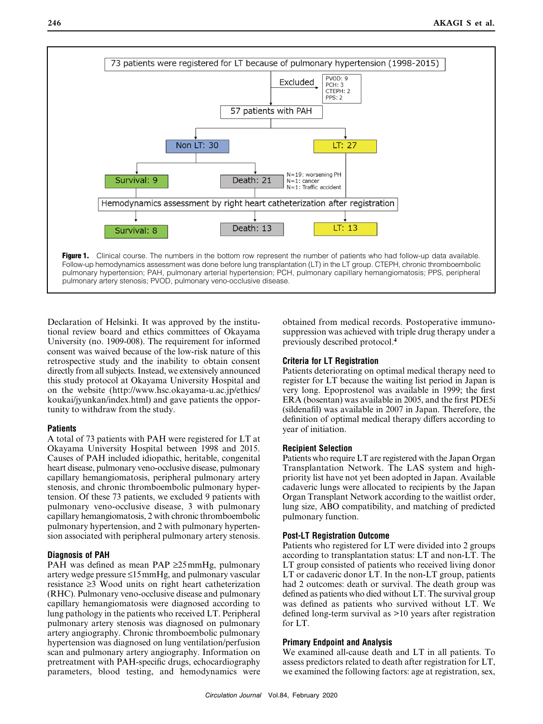

Declaration of Helsinki. It was approved by the institutional review board and ethics committees of Okayama University (no. 1909-008). The requirement for informed consent was waived because of the low-risk nature of this retrospective study and the inability to obtain consent directly from all subjects. Instead, we extensively announced this study protocol at Okayama University Hospital and on the website (http://www.hsc.okayama-u.ac.jp/ethics/ koukai/jyunkan/index.html) and gave patients the opportunity to withdraw from the study.

# **Patients**

A total of 73 patients with PAH were registered for LT at Okayama University Hospital between 1998 and 2015. Causes of PAH included idiopathic, heritable, congenital heart disease, pulmonary veno-occlusive disease, pulmonary capillary hemangiomatosis, peripheral pulmonary artery stenosis, and chronic thromboembolic pulmonary hypertension. Of these 73 patients, we excluded 9 patients with pulmonary veno-occlusive disease, 3 with pulmonary capillary hemangiomatosis, 2 with chronic thromboembolic pulmonary hypertension, and 2 with pulmonary hypertension associated with peripheral pulmonary artery stenosis.

# **Diagnosis of PAH**

PAH was defined as mean PAP ≥25mmHg, pulmonary artery wedge pressure ≤15mmHg, and pulmonary vascular resistance ≥3 Wood units on right heart catheterization (RHC). Pulmonary veno-occlusive disease and pulmonary capillary hemangiomatosis were diagnosed according to lung pathology in the patients who received LT. Peripheral pulmonary artery stenosis was diagnosed on pulmonary artery angiography. Chronic thromboembolic pulmonary hypertension was diagnosed on lung ventilation/perfusion scan and pulmonary artery angiography. Information on pretreatment with PAH-specific drugs, echocardiography parameters, blood testing, and hemodynamics were obtained from medical records. Postoperative immunosuppression was achieved with triple drug therapy under a previously described protocol.**<sup>4</sup>**

# **Criteria for LT Registration**

Patients deteriorating on optimal medical therapy need to register for LT because the waiting list period in Japan is very long. Epoprostenol was available in 1999; the first ERA (bosentan) was available in 2005, and the first PDE5i (sildenafil) was available in 2007 in Japan. Therefore, the definition of optimal medical therapy differs according to year of initiation.

# **Recipient Selection**

Patients who require LT are registered with the Japan Organ Transplantation Network. The LAS system and highpriority list have not yet been adopted in Japan. Available cadaveric lungs were allocated to recipients by the Japan Organ Transplant Network according to the waitlist order, lung size, ABO compatibility, and matching of predicted pulmonary function.

# **Post-LT Registration Outcome**

Patients who registered for LT were divided into 2 groups according to transplantation status: LT and non-LT. The LT group consisted of patients who received living donor LT or cadaveric donor LT. In the non-LT group, patients had 2 outcomes: death or survival. The death group was defined as patients who died without LT. The survival group was defined as patients who survived without LT. We defined long-term survival as >10 years after registration for LT.

# **Primary Endpoint and Analysis**

We examined all-cause death and LT in all patients. To assess predictors related to death after registration for LT, we examined the following factors: age at registration, sex,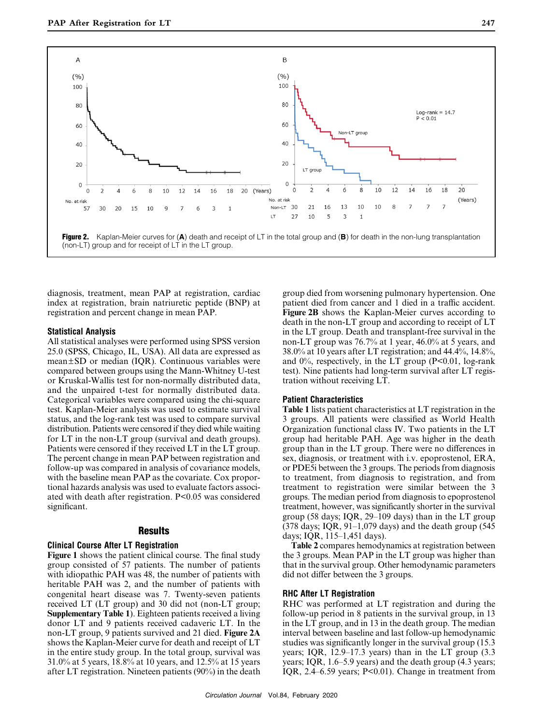

diagnosis, treatment, mean PAP at registration, cardiac index at registration, brain natriuretic peptide (BNP) at registration and percent change in mean PAP.

#### **Statistical Analysis**

All statistical analyses were performed using SPSS version 25.0 (SPSS, Chicago, IL, USA). All data are expressed as mean±SD or median (IQR). Continuous variables were compared between groups using the Mann-Whitney U-test or Kruskal-Wallis test for non-normally distributed data, and the unpaired t-test for normally distributed data. Categorical variables were compared using the chi-square test. Kaplan-Meier analysis was used to estimate survival status, and the log-rank test was used to compare survival distribution. Patients were censored if they died while waiting for LT in the non-LT group (survival and death groups). Patients were censored if they received LT in the LT group. The percent change in mean PAP between registration and follow-up was compared in analysis of covariance models, with the baseline mean PAP as the covariate. Cox proportional hazards analysis was used to evaluate factors associated with death after registration. P<0.05 was considered significant.

#### **Results**

#### **Clinical Course After LT Registration**

**Figure 1** shows the patient clinical course. The final study group consisted of 57 patients. The number of patients with idiopathic PAH was 48, the number of patients with heritable PAH was 2, and the number of patients with congenital heart disease was 7. Twenty-seven patients received LT (LT group) and 30 did not (non-LT group; **Supplementary Table 1**). Eighteen patients received a living donor LT and 9 patients received cadaveric LT. In the non-LT group, 9 patients survived and 21 died. **Figure 2A** shows the Kaplan-Meier curve for death and receipt of LT in the entire study group. In the total group, survival was 31.0% at 5 years, 18.8% at 10 years, and 12.5% at 15 years after LT registration. Nineteen patients (90%) in the death group died from worsening pulmonary hypertension. One patient died from cancer and 1 died in a traffic accident. **Figure 2B** shows the Kaplan-Meier curves according to death in the non-LT group and according to receipt of LT in the LT group. Death and transplant-free survival in the non-LT group was 76.7% at 1 year, 46.0% at 5 years, and 38.0% at 10 years after LT registration; and 44.4%, 14.8%, and  $0\%$ , respectively, in the LT group (P<0.01, log-rank test). Nine patients had long-term survival after LT registration without receiving LT.

#### **Patient Characteristics**

**Table 1** lists patient characteristics at LT registration in the 3 groups. All patients were classified as World Health Organization functional class IV. Two patients in the LT group had heritable PAH. Age was higher in the death group than in the LT group. There were no differences in sex, diagnosis, or treatment with i.v. epoprostenol, ERA, or PDE5i between the 3 groups. The periods from diagnosis to treatment, from diagnosis to registration, and from treatment to registration were similar between the 3 groups. The median period from diagnosis to epoprostenol treatment, however, was significantly shorter in the survival group (58 days; IQR, 29–109 days) than in the LT group (378 days; IQR,  $91-1,079$  days) and the death group (545) days; IQR, 115–1,451 days).

**Table 2** compares hemodynamics at registration between the 3 groups. Mean PAP in the LT group was higher than that in the survival group. Other hemodynamic parameters did not differ between the 3 groups.

#### **RHC After LT Registration**

RHC was performed at LT registration and during the follow-up period in 8 patients in the survival group, in 13 in the LT group, and in 13 in the death group. The median interval between baseline and last follow-up hemodynamic studies was significantly longer in the survival group (15.3 years; IQR, 12.9–17.3 years) than in the LT group (3.3 years; IQR, 1.6–5.9 years) and the death group (4.3 years; IQR, 2.4–6.59 years; P<0.01). Change in treatment from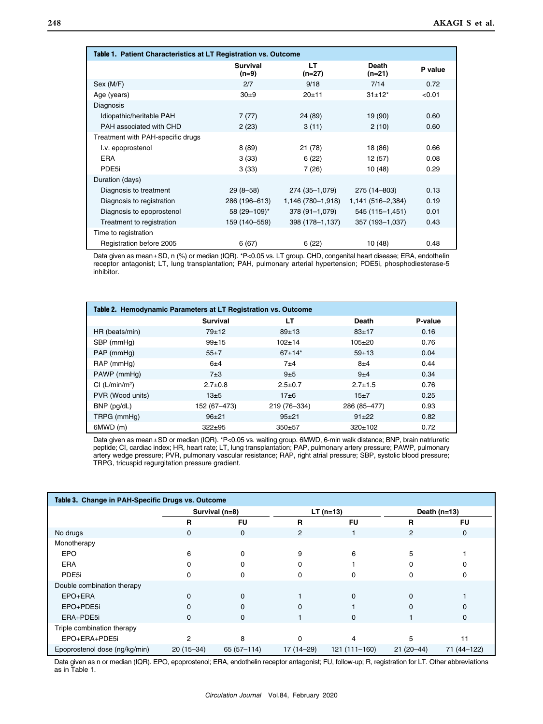| Table 1. Patient Characteristics at LT Registration vs. Outcome |                          |                   |                        |         |  |  |
|-----------------------------------------------------------------|--------------------------|-------------------|------------------------|---------|--|--|
|                                                                 | <b>Survival</b><br>(n=9) | LT<br>(n=27)      | <b>Death</b><br>(n=21) | P value |  |  |
| Sex (M/F)                                                       | 2/7                      | 9/18              | 7/14                   | 0.72    |  |  |
| Age (years)                                                     | $30+9$                   | $20 + 11$         | $31 \pm 12^*$          | < 0.01  |  |  |
| Diagnosis                                                       |                          |                   |                        |         |  |  |
| Idiopathic/heritable PAH                                        | 7(77)                    | 24 (89)           | 19 (90)                | 0.60    |  |  |
| PAH associated with CHD                                         | 2(23)                    | 3(11)             | 2(10)                  | 0.60    |  |  |
| Treatment with PAH-specific drugs                               |                          |                   |                        |         |  |  |
| I.v. epoprostenol                                               | 8(89)                    | 21 (78)           | 18 (86)                | 0.66    |  |  |
| <b>FRA</b>                                                      | 3(33)                    | 6(22)             | 12 (57)                | 0.08    |  |  |
| PDE <sub>5i</sub>                                               | 3(33)                    | 7 (26)            | 10 (48)                | 0.29    |  |  |
| Duration (days)                                                 |                          |                   |                        |         |  |  |
| Diagnosis to treatment                                          | $29(8-58)$               | 274 (35-1,079)    | 275 (14 - 803)         | 0.13    |  |  |
| Diagnosis to registration                                       | 286 (196-613)            | 1,146 (780–1,918) | 1,141 (516–2,384)      | 0.19    |  |  |
| Diagnosis to epoprostenol                                       | 58 (29-109)*             | 378 (91-1,079)    | 545 (115-1,451)        | 0.01    |  |  |
| Treatment to registration                                       | 159 (140-559)            | 398 (178-1,137)   | 357 (193-1,037)        | 0.43    |  |  |
| Time to registration                                            |                          |                   |                        |         |  |  |
| Registration before 2005                                        | 6(67)                    | 6(22)             | 10 (48)                | 0.48    |  |  |

Data given as mean±SD, n (%) or median (IQR). \*P<0.05 vs. LT group. CHD, congenital heart disease; ERA, endothelin receptor antagonist; LT, lung transplantation; PAH, pulmonary arterial hypertension; PDE5i, phosphodiesterase-5 inhibitor.

| Table 2. Hemodynamic Parameters at LT Registration vs. Outcome |                 |               |               |         |  |  |  |
|----------------------------------------------------------------|-----------------|---------------|---------------|---------|--|--|--|
|                                                                | <b>Survival</b> | LТ            | <b>Death</b>  | P-value |  |  |  |
| HR (beats/min)                                                 | $79 + 12$       | $89+13$       | $83 + 17$     | 0.16    |  |  |  |
| SBP (mmHq)                                                     | $99+15$         | $102 + 14$    | $105 + 20$    | 0.76    |  |  |  |
| PAP (mmHg)                                                     | $55+7$          | $67+14*$      | $59+13$       | 0.04    |  |  |  |
| RAP (mmHg)                                                     | 6±4             | $7+4$         | $8+4$         | 0.44    |  |  |  |
| PAWP (mmHq)                                                    | $7\pm3$         | 9±5           | $9+4$         | 0.34    |  |  |  |
| Cl (L/min/m <sup>2</sup> )                                     | $2.7 \pm 0.8$   | $2.5 \pm 0.7$ | $2.7 \pm 1.5$ | 0.76    |  |  |  |
| PVR (Wood units)                                               | $13\pm 5$       | $17 + 6$      | $15+7$        | 0.25    |  |  |  |
| BNP (pg/dL)                                                    | 152 (67-473)    | 219 (76-334)  | 286 (85-477)  | 0.93    |  |  |  |
| TRPG (mmHq)                                                    | $96+21$         | $95 + 21$     | $91 \pm 22$   | 0.82    |  |  |  |
| 6MWD (m)                                                       | $322 + 95$      | $350+57$      | 320±102       | 0.72    |  |  |  |

Data given as mean±SD or median (IQR). \*P<0.05 vs. waiting group. 6MWD, 6-min walk distance; BNP, brain natriuretic peptide; CI, cardiac index; HR, heart rate; LT, lung transplantation; PAP, pulmonary artery pressure; PAWP, pulmonary artery wedge pressure; PVR, pulmonary vascular resistance; RAP, right atrial pressure; SBP, systolic blood pressure; TRPG, tricuspid regurgitation pressure gradient.

| Table 3. Change in PAH-Specific Drugs vs. Outcome |                |              |                |               |                |             |
|---------------------------------------------------|----------------|--------------|----------------|---------------|----------------|-------------|
|                                                   | Survival (n=8) |              | $LT (n=13)$    |               | Death $(n=13)$ |             |
|                                                   | R              | <b>FU</b>    | R              | <b>FU</b>     | R              | <b>FU</b>   |
| No drugs                                          | $\mathbf 0$    | $\mathbf 0$  | $\overline{c}$ |               | $\overline{2}$ | $\mathbf 0$ |
| Monotherapy                                       |                |              |                |               |                |             |
| EPO                                               | 6              | O            | 9              | 6             | 5              |             |
| <b>ERA</b>                                        |                |              |                |               |                |             |
| PDE <sub>5i</sub>                                 | n              | 0            | o              | 0             |                |             |
| Double combination therapy                        |                |              |                |               |                |             |
| EPO+ERA                                           | $\Omega$       | $\Omega$     |                | $\Omega$      | $\Omega$       |             |
| EPO+PDE5i                                         | n              | $\Omega$     |                |               |                |             |
| ERA+PDE5i                                         | $\Omega$       | 0            |                | $\Omega$      |                | 0           |
| Triple combination therapy                        |                |              |                |               |                |             |
| EPO+ERA+PDE5i                                     | っ              | 8            |                |               | 5              | 11          |
| Epoprostenol dose (ng/kg/min)                     | $20(15-34)$    | $65(57-114)$ | 17 (14-29)     | 121 (111-160) | $21(20-44)$    | 71 (44-122) |

Data given as n or median (IQR). EPO, epoprostenol; ERA, endothelin receptor antagonist; FU, follow-up; R, registration for LT. Other abbreviations as in Table 1.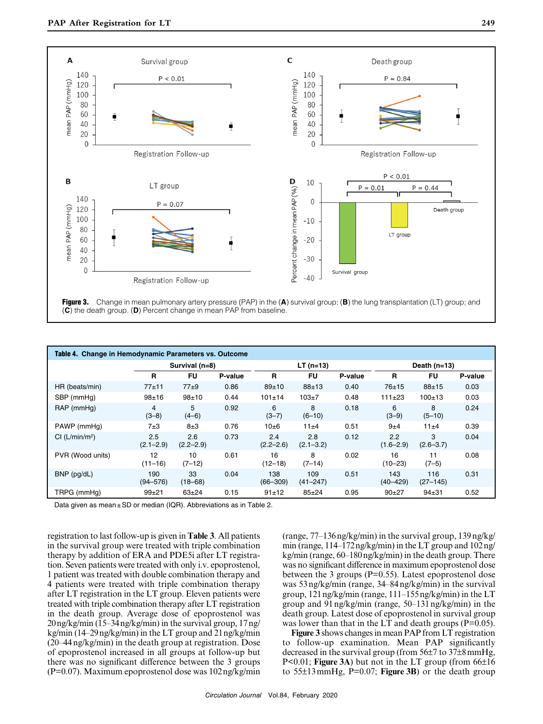

| Table 4. Change in Hemodynamic Parameters vs. Outcome |                      |                      |             |                      |                      |                |                      |                     |         |
|-------------------------------------------------------|----------------------|----------------------|-------------|----------------------|----------------------|----------------|----------------------|---------------------|---------|
|                                                       | Survival (n=8)       |                      | $LT (n=13)$ |                      |                      | Death $(n=13)$ |                      |                     |         |
|                                                       | R                    | FU                   | P-value     | R                    | <b>FU</b>            | P-value        | R                    | <b>FU</b>           | P-value |
| HR (beats/min)                                        | $77+11$              | $77\pm9$             | 0.86        | $89+10$              | $88 + 13$            | 0.40           | 76±15                | $88 + 15$           | 0.03    |
| SBP (mmHq)                                            | $98 + 16$            | $98 + 10$            | 0.44        | $101 \pm 14$         | $103 + 7$            | 0.48           | 111±23               | $100 + 13$          | 0.03    |
| RAP (mmHg)                                            | 4<br>$(3-8)$         | 5.<br>$(4-6)$        | 0.92        | 6<br>$(3 - 7)$       | 8<br>$(6 - 10)$      | 0.18           | 6<br>$(3-9)$         | 8<br>$(5 - 10)$     | 0.24    |
| PAWP (mmHq)                                           | 7±3                  | $8\pm3$              | 0.76        | 10±6                 | 11±4                 | 0.51           | 9±4                  | 11±4                | 0.39    |
| Cl (L/min/m <sup>2</sup> )                            | 2.5<br>$(2.1 - 2.9)$ | 2.6<br>$(2.2 - 2.9)$ | 0.73        | 2.4<br>$(2.2 - 2.6)$ | 2.8<br>$(2.1 - 3.2)$ | 0.12           | 2.2<br>$(1.6 - 2.9)$ | 3<br>$(2.6 - 3.7)$  | 0.04    |
| PVR (Wood units)                                      | 12<br>$(11 - 16)$    | 10<br>$(7-12)$       | 0.61        | 16<br>$(12 - 18)$    | 8<br>$(7-14)$        | 0.02           | 16<br>$(10 - 23)$    | 11<br>$(7-5)$       | 0.08    |
| $BNP$ (pg/dL)                                         | 190<br>$(94 - 576)$  | 33<br>$(18 - 68)$    | 0.04        | 138<br>$(66 - 309)$  | 109<br>$(41 - 247)$  | 0.51           | 143<br>$(40 - 429)$  | 116<br>$(27 - 145)$ | 0.31    |
| TRPG (mmHg)                                           | $99 + 21$            | $63 + 24$            | 0.15        | 91±12                | $85 + 24$            | 0.95           | $90+27$              | $94 + 31$           | 0.52    |

Data given as mean ± SD or median (IQR). Abbreviations as in Table 2.

registration to last follow-up is given in **Table 3**. All patients in the survival group were treated with triple combination therapy by addition of ERA and PDE5i after LT registration. Seven patients were treated with only i.v. epoprostenol, 1 patient was treated with double combination therapy and 4 patients were treated with triple combination therapy after LT registration in the LT group. Eleven patients were treated with triple combination therapy after LT registration in the death group. Average dose of epoprostenol was 20ng/kg/min (15–34ng/kg/min) in the survival group, 17ng/ kg/min (14–29ng/kg/min) in the LT group and 21ng/kg/min (20–44ng/kg/min) in the death group at registration. Dose of epoprostenol increased in all groups at follow-up but there was no significant difference between the 3 groups (P=0.07). Maximum epoprostenol dose was 102ng/kg/min (range, 77–136ng/kg/min) in the survival group, 139ng/kg/ min (range, 114–172ng/kg/min) in the LT group and 102ng/ kg/min (range, 60–180ng/kg/min) in the death group. There was no significant difference in maximum epoprostenol dose between the 3 groups (P=0.55). Latest epoprostenol dose was 53ng/kg/min (range, 34–84ng/kg/min) in the survival group, 121ng/kg/min (range, 111–155ng/kg/min) in the LT group and 91ng/kg/min (range, 50–131ng/kg/min) in the death group. Latest dose of epoprostenol in survival group was lower than that in the LT and death groups  $(P=0.05)$ .

**Figure 3** shows changes in mean PAP from LT registration to follow-up examination. Mean PAP significantly decreased in the survival group (from 56±7 to 37±8mmHg, P<0.01; **Figure 3A**) but not in the LT group (from 66±16 to 55±13mmHg, P=0.07; **Figure 3B**) or the death group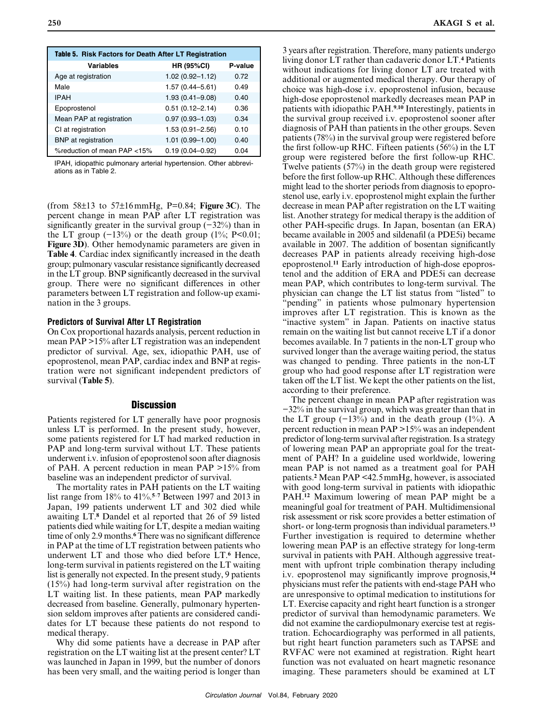| Table 5. Risk Factors for Death After LT Registration |                     |         |  |  |  |  |
|-------------------------------------------------------|---------------------|---------|--|--|--|--|
| <b>Variables</b>                                      | <b>HR (95%CI)</b>   | P-value |  |  |  |  |
| Age at registration                                   | $1.02(0.92 - 1.12)$ | 0.72    |  |  |  |  |
| Male                                                  | $1.57(0.44 - 5.61)$ | 0.49    |  |  |  |  |
| <b>IPAH</b>                                           | $1.93(0.41 - 9.08)$ | 0.40    |  |  |  |  |
| Epoprostenol                                          | $0.51(0.12 - 2.14)$ | 0.36    |  |  |  |  |
| Mean PAP at registration                              | $0.97(0.93 - 1.03)$ | 0.34    |  |  |  |  |
| CI at registration                                    | $1.53(0.91 - 2.56)$ | 0.10    |  |  |  |  |
| <b>BNP</b> at registration                            | $1.01(0.99 - 1.00)$ | 0.40    |  |  |  |  |
| %reduction of mean PAP <15%                           | $0.19(0.04 - 0.92)$ | 0.04    |  |  |  |  |

IPAH, idiopathic pulmonary arterial hypertension. Other abbreviations as in Table 2.

(from 58±13 to 57±16mmHg, P=0.84; **Figure 3C**). The percent change in mean PAP after LT registration was significantly greater in the survival group (−32%) than in the LT group  $(-13%)$  or the death group  $(1\%; P<0.01;$ **Figure 3D**). Other hemodynamic parameters are given in **Table 4**. Cardiac index significantly increased in the death group; pulmonary vascular resistance significantly decreased in the LT group. BNP significantly decreased in the survival group. There were no significant differences in other parameters between LT registration and follow-up examination in the 3 groups.

#### **Predictors of Survival After LT Registration**

On Cox proportional hazards analysis, percent reduction in mean PAP >15% after LT registration was an independent predictor of survival. Age, sex, idiopathic PAH, use of epoprostenol, mean PAP, cardiac index and BNP at registration were not significant independent predictors of survival (**Table 5**).

#### **Discussion**

Patients registered for LT generally have poor prognosis unless LT is performed. In the present study, however, some patients registered for LT had marked reduction in PAP and long-term survival without LT. These patients underwent i.v. infusion of epoprostenol soon after diagnosis of PAH. A percent reduction in mean PAP >15% from baseline was an independent predictor of survival.

The mortality rates in PAH patients on the LT waiting list range from 18% to 41%.**<sup>5</sup>**–**<sup>7</sup>** Between 1997 and 2013 in Japan, 199 patients underwent LT and 302 died while awaiting LT.**<sup>8</sup>** Dandel et al reported that 26 of 59 listed patients died while waiting for LT, despite a median waiting time of only 2.9 months.**<sup>6</sup>** There was no significant difference in PAP at the time of LT registration between patients who underwent LT and those who died before LT.**<sup>6</sup>** Hence, long-term survival in patients registered on the LT waiting list is generally not expected. In the present study, 9 patients (15%) had long-term survival after registration on the LT waiting list. In these patients, mean PAP markedly decreased from baseline. Generally, pulmonary hypertension seldom improves after patients are considered candidates for LT because these patients do not respond to medical therapy.

Why did some patients have a decrease in PAP after registration on the LT waiting list at the present center? LT was launched in Japan in 1999, but the number of donors has been very small, and the waiting period is longer than 3 years after registration. Therefore, many patients undergo living donor LT rather than cadaveric donor LT.**<sup>4</sup>** Patients without indications for living donor LT are treated with additional or augmented medical therapy. Our therapy of choice was high-dose i.v. epoprostenol infusion, because high-dose epoprostenol markedly decreases mean PAP in patients with idiopathic PAH.**<sup>9</sup>**,**<sup>10</sup>** Interestingly, patients in the survival group received i.v. epoprostenol sooner after diagnosis of PAH than patients in the other groups. Seven patients (78%) in the survival group were registered before the first follow-up RHC. Fifteen patients (56%) in the LT group were registered before the first follow-up RHC. Twelve patients (57%) in the death group were registered before the first follow-up RHC. Although these differences might lead to the shorter periods from diagnosis to epoprostenol use, early i.v. epoprostenol might explain the further decrease in mean PAP after registration on the LT waiting list. Another strategy for medical therapy is the addition of other PAH-specific drugs. In Japan, bosentan (an ERA) became available in 2005 and sildenafil (a PDE5i) became available in 2007. The addition of bosentan significantly decreases PAP in patients already receiving high-dose epoprostenol.**11** Early introduction of high-dose epoprostenol and the addition of ERA and PDE5i can decrease mean PAP, which contributes to long-term survival. The physician can change the LT list status from "listed" to "pending" in patients whose pulmonary hypertension improves after LT registration. This is known as the "inactive system" in Japan. Patients on inactive status remain on the waiting list but cannot receive LT if a donor becomes available. In 7 patients in the non-LT group who survived longer than the average waiting period, the status was changed to pending. Three patients in the non-LT group who had good response after LT registration were taken off the LT list. We kept the other patients on the list, according to their preference.

The percent change in mean PAP after registration was −32% in the survival group, which was greater than that in the LT group  $(-13\%)$  and in the death group  $(1\%)$ . A percent reduction in mean PAP >15% was an independent predictor of long-term survival after registration. Is a strategy of lowering mean PAP an appropriate goal for the treatment of PAH? In a guideline used worldwide, lowering mean PAP is not named as a treatment goal for PAH patients.**<sup>2</sup>** Mean PAP <42.5mmHg, however, is associated with good long-term survival in patients with idiopathic PAH.**<sup>12</sup>** Maximum lowering of mean PAP might be a meaningful goal for treatment of PAH. Multidimensional risk assessment or risk score provides a better estimation of short- or long-term prognosis than individual parameters.**<sup>13</sup>** Further investigation is required to determine whether lowering mean PAP is an effective strategy for long-term survival in patients with PAH. Although aggressive treatment with upfront triple combination therapy including i.v. epoprostenol may significantly improve prognosis,**<sup>14</sup>** physicians must refer the patients with end-stage PAH who are unresponsive to optimal medication to institutions for LT. Exercise capacity and right heart function is a stronger predictor of survival than hemodynamic parameters. We did not examine the cardiopulmonary exercise test at registration. Echocardiography was performed in all patients, but right heart function parameters such as TAPSE and RVFAC were not examined at registration. Right heart function was not evaluated on heart magnetic resonance imaging. These parameters should be examined at LT